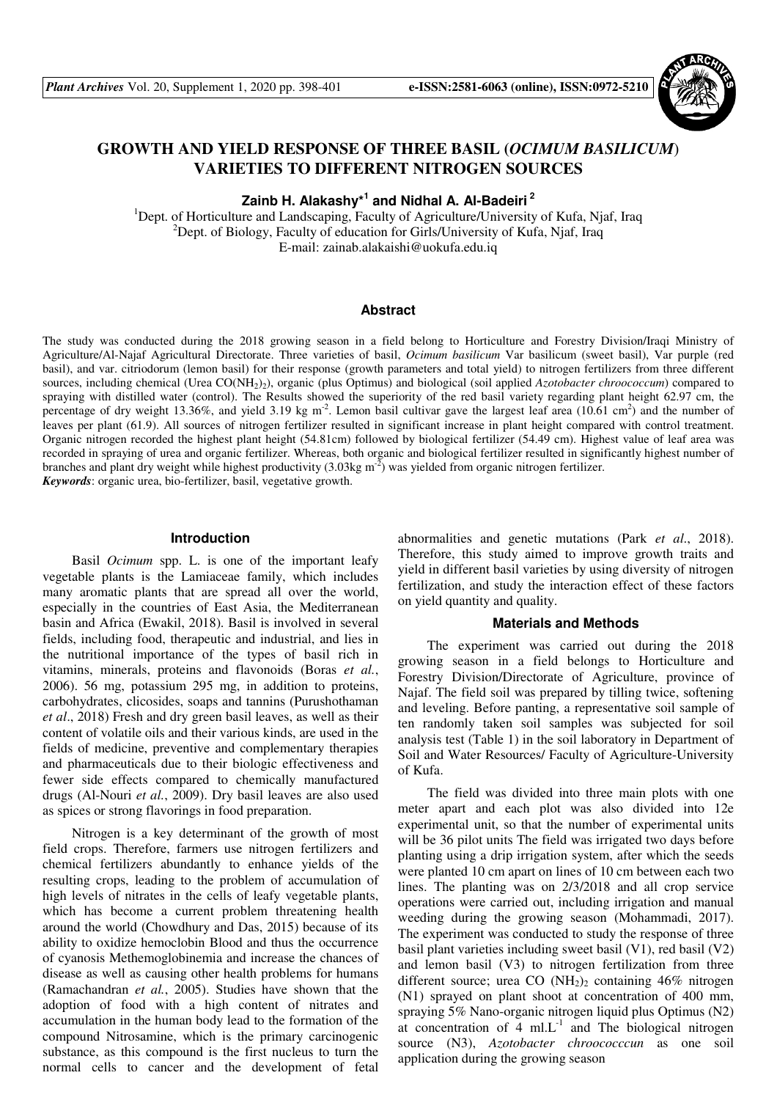

# **GROWTH AND YIELD RESPONSE OF THREE BASIL (***OCIMUM BASILICUM*) **VARIETIES TO DIFFERENT NITROGEN SOURCES**

**Zainb H. Alakashy\*<sup>1</sup> and Nidhal A. Al-Badeiri<sup>2</sup>**

<sup>1</sup>Dept. of Horticulture and Landscaping, Faculty of Agriculture/University of Kufa, Njaf, Iraq  $^{2}$ Dept. of Biology, Faculty of education for Girls/University of Kufa, Njaf, Iraq E-mail: zainab.alakaishi@uokufa.edu.iq

## **Abstract**

The study was conducted during the 2018 growing season in a field belong to Horticulture and Forestry Division/Iraqi Ministry of Agriculture/Al-Najaf Agricultural Directorate. Three varieties of basil, *Ocimum basilicum* Var basilicum (sweet basil), Var purple (red basil), and var. citriodorum (lemon basil) for their response (growth parameters and total yield) to nitrogen fertilizers from three different sources, including chemical (Urea CO(NH<sub>2</sub>)<sub>2</sub>), organic (plus Optimus) and biological (soil applied *Azotobacter chroococcum*) compared to spraying with distilled water (control). The Results showed the superiority of the red basil variety regarding plant height 62.97 cm, the percentage of dry weight 13.36%, and yield 3.19 kg  $m^2$ . Lemon basil cultivar gave the largest leaf area (10.61 cm<sup>2</sup>) and the number of leaves per plant (61.9). All sources of nitrogen fertilizer resulted in significant increase in plant height compared with control treatment. Organic nitrogen recorded the highest plant height (54.81cm) followed by biological fertilizer (54.49 cm). Highest value of leaf area was recorded in spraying of urea and organic fertilizer. Whereas, both organic and biological fertilizer resulted in significantly highest number of branches and plant dry weight while highest productivity  $(3.03 \text{kg m}^{-2})$  was yielded from organic nitrogen fertilizer. *Keywords*: organic urea, bio-fertilizer, basil, vegetative growth.

#### **Introduction**

Basil *Ocimum* spp. L. is one of the important leafy vegetable plants is the Lamiaceae family, which includes many aromatic plants that are spread all over the world, especially in the countries of East Asia, the Mediterranean basin and Africa (Ewakil, 2018). Basil is involved in several fields, including food, therapeutic and industrial, and lies in the nutritional importance of the types of basil rich in vitamins, minerals, proteins and flavonoids (Boras *et al.*, 2006). 56 mg, potassium 295 mg, in addition to proteins, carbohydrates, clicosides, soaps and tannins (Purushothaman *et al*., 2018) Fresh and dry green basil leaves, as well as their content of volatile oils and their various kinds, are used in the fields of medicine, preventive and complementary therapies and pharmaceuticals due to their biologic effectiveness and fewer side effects compared to chemically manufactured drugs (Al-Nouri *et al.*, 2009). Dry basil leaves are also used as spices or strong flavorings in food preparation.

Nitrogen is a key determinant of the growth of most field crops. Therefore, farmers use nitrogen fertilizers and chemical fertilizers abundantly to enhance yields of the resulting crops, leading to the problem of accumulation of high levels of nitrates in the cells of leafy vegetable plants, which has become a current problem threatening health around the world (Chowdhury and Das, 2015) because of its ability to oxidize hemoclobin Blood and thus the occurrence of cyanosis Methemoglobinemia and increase the chances of disease as well as causing other health problems for humans (Ramachandran *et al.*, 2005). Studies have shown that the adoption of food with a high content of nitrates and accumulation in the human body lead to the formation of the compound Nitrosamine, which is the primary carcinogenic substance, as this compound is the first nucleus to turn the normal cells to cancer and the development of fetal abnormalities and genetic mutations (Park *et al*., 2018). Therefore, this study aimed to improve growth traits and yield in different basil varieties by using diversity of nitrogen fertilization, and study the interaction effect of these factors on yield quantity and quality.

# **Materials and Methods**

The experiment was carried out during the 2018 growing season in a field belongs to Horticulture and Forestry Division/Directorate of Agriculture, province of Najaf. The field soil was prepared by tilling twice, softening and leveling. Before panting, a representative soil sample of ten randomly taken soil samples was subjected for soil analysis test (Table 1) in the soil laboratory in Department of Soil and Water Resources/ Faculty of Agriculture-University of Kufa.

The field was divided into three main plots with one meter apart and each plot was also divided into 12e experimental unit, so that the number of experimental units will be 36 pilot units The field was irrigated two days before planting using a drip irrigation system, after which the seeds were planted 10 cm apart on lines of 10 cm between each two lines. The planting was on 2/3/2018 and all crop service operations were carried out, including irrigation and manual weeding during the growing season (Mohammadi, 2017). The experiment was conducted to study the response of three basil plant varieties including sweet basil (V1), red basil (V2) and lemon basil (V3) to nitrogen fertilization from three different source; urea CO  $(NH<sub>2</sub>)<sub>2</sub>$  containing 46% nitrogen (N1) sprayed on plant shoot at concentration of 400 mm, spraying 5% Nano-organic nitrogen liquid plus Optimus (N2) at concentration of 4 ml. $L^{-1}$  and The biological nitrogen source (N3), *Azotobacter chroococccun* as one soil application during the growing season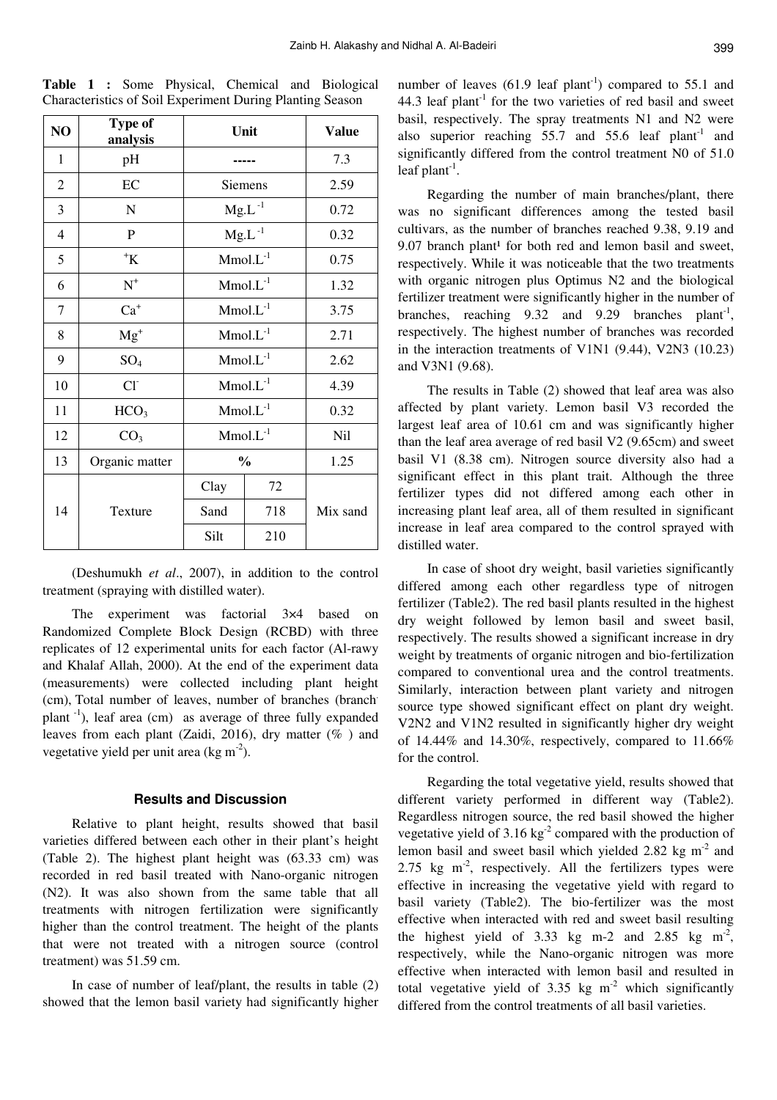| NO | Type of<br>analysis       | Unit           |      | <b>Value</b> |  |
|----|---------------------------|----------------|------|--------------|--|
| 1  | pH                        |                | 7.3  |              |  |
| 2  | EC                        | <b>Siemens</b> | 2.59 |              |  |
| 3  | N                         | $Mg.L^{-1}$    | 0.72 |              |  |
| 4  | P                         | $Mg.L^{-1}$    | 0.32 |              |  |
| 5  | $^{\mathrm{+}}\mathrm{K}$ | $Mmol.L^{-1}$  | 0.75 |              |  |
| 6  | $\textbf{N}^+$            | $Mmol.L^{-1}$  | 1.32 |              |  |
| 7  | $Ca+$                     | $Mmol.L^{-1}$  | 3.75 |              |  |
| 8  | $Mg^{+}$                  | $Mmol.L^{-1}$  |      | 2.71         |  |
| 9  | $SO_4$                    | $Mmol.L^{-1}$  |      | 2.62         |  |
| 10 | $Cl-$                     | $Mmol.L^{-1}$  |      | 4.39         |  |
| 11 | HCO <sub>3</sub>          | $Mmol.L^{-1}$  |      | 0.32         |  |
| 12 | CO <sub>3</sub>           | $Mmol.L^{-1}$  |      | Nil          |  |
| 13 | Organic matter            | $\frac{0}{0}$  |      | 1.25         |  |
| 14 |                           | Clay           | 72   |              |  |
|    | Texture                   | Sand           | 718  |              |  |
|    |                           | Silt           | 210  |              |  |

**Table 1 :** Some Physical, Chemical and Biological Characteristics of Soil Experiment During Planting Season

(Deshumukh *et al*., 2007), in addition to the control treatment (spraying with distilled water).

The experiment was factorial 3×4 based on Randomized Complete Block Design (RCBD) with three replicates of 12 experimental units for each factor (Al-rawy and Khalaf Allah, 2000). At the end of the experiment data (measurements) were collected including plant height (cm), Total number of leaves, number of branches (branch. plant -1), leaf area (cm) as average of three fully expanded leaves from each plant (Zaidi, 2016), dry matter (% ) and vegetative yield per unit area (kg m<sup>-2</sup>).

# **Results and Discussion**

Relative to plant height, results showed that basil varieties differed between each other in their plant's height (Table 2). The highest plant height was (63.33 cm) was recorded in red basil treated with Nano-organic nitrogen (N2). It was also shown from the same table that all treatments with nitrogen fertilization were significantly higher than the control treatment. The height of the plants that were not treated with a nitrogen source (control treatment) was 51.59 cm.

In case of number of leaf/plant, the results in table (2) showed that the lemon basil variety had significantly higher

number of leaves  $(61.9 \text{ leaf plant}^{-1})$  compared to 55.1 and 44.3 leaf plant<sup>-1</sup> for the two varieties of red basil and sweet basil, respectively. The spray treatments N1 and N2 were also superior reaching  $55.7$  and  $55.6$  leaf plant<sup>-1</sup> and significantly differed from the control treatment N0 of 51.0 leaf plant<sup>-1</sup>.

Regarding the number of main branches/plant, there was no significant differences among the tested basil cultivars, as the number of branches reached 9.38, 9.19 and 9.07 branch plant<sup>1</sup> for both red and lemon basil and sweet, respectively. While it was noticeable that the two treatments with organic nitrogen plus Optimus N2 and the biological fertilizer treatment were significantly higher in the number of branches, reaching  $9.32$  and  $9.29$  branches plant<sup>-1</sup>, respectively. The highest number of branches was recorded in the interaction treatments of V1N1 (9.44), V2N3 (10.23) and V3N1 (9.68).

The results in Table (2) showed that leaf area was also affected by plant variety. Lemon basil V3 recorded the largest leaf area of 10.61 cm and was significantly higher than the leaf area average of red basil V2 (9.65cm) and sweet basil V1 (8.38 cm). Nitrogen source diversity also had a significant effect in this plant trait. Although the three fertilizer types did not differed among each other in increasing plant leaf area, all of them resulted in significant increase in leaf area compared to the control sprayed with distilled water.

In case of shoot dry weight, basil varieties significantly differed among each other regardless type of nitrogen fertilizer (Table2). The red basil plants resulted in the highest dry weight followed by lemon basil and sweet basil, respectively. The results showed a significant increase in dry weight by treatments of organic nitrogen and bio-fertilization compared to conventional urea and the control treatments. Similarly, interaction between plant variety and nitrogen source type showed significant effect on plant dry weight. V2N2 and V1N2 resulted in significantly higher dry weight of 14.44% and 14.30%, respectively, compared to  $11.66\%$ for the control.

Regarding the total vegetative yield, results showed that different variety performed in different way (Table2). Regardless nitrogen source, the red basil showed the higher vegetative yield of  $3.16 \text{ kg}^2$  compared with the production of lemon basil and sweet basil which yielded  $2.82 \text{ kg m}^2$  and 2.75 kg  $m<sup>2</sup>$ , respectively. All the fertilizers types were effective in increasing the vegetative yield with regard to basil variety (Table2). The bio-fertilizer was the most effective when interacted with red and sweet basil resulting the highest yield of 3.33 kg m-2 and 2.85 kg m<sup>-2</sup>, respectively, while the Nano-organic nitrogen was more effective when interacted with lemon basil and resulted in total vegetative yield of  $3.35 \text{ kg m}^2$  which significantly differed from the control treatments of all basil varieties.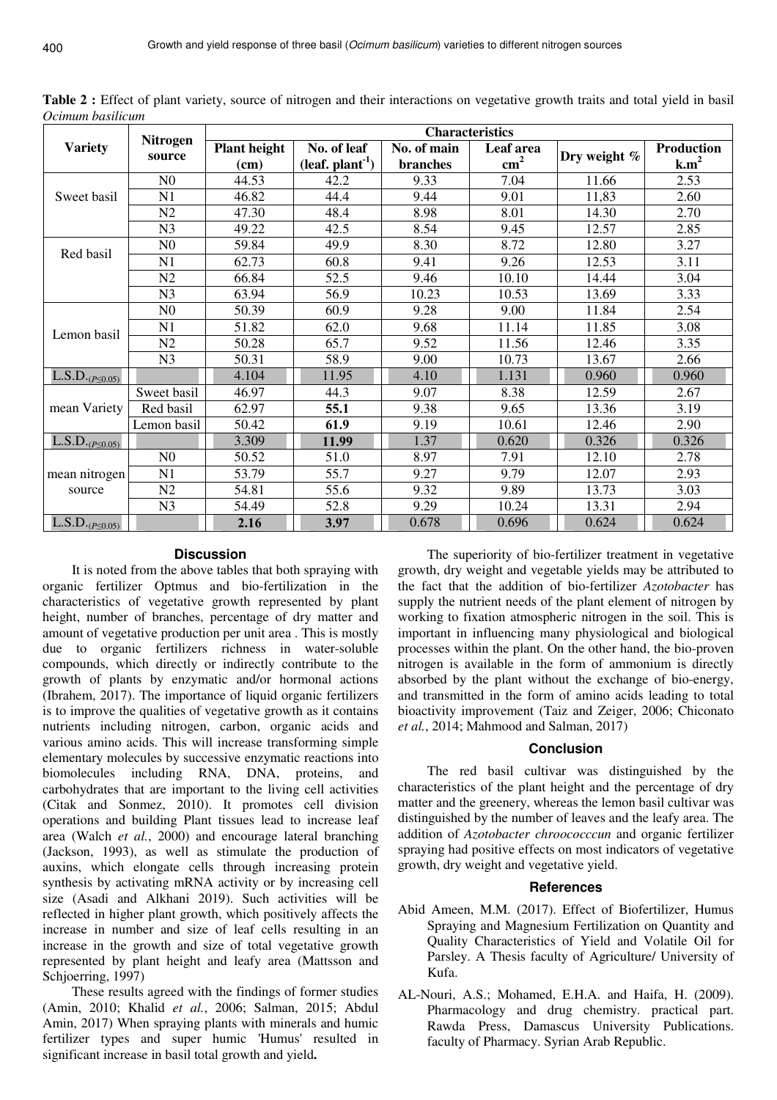| <b>Variety</b>           | <b>Nitrogen</b><br>source | <b>Characteristics</b> |                                      |             |               |              |                   |  |
|--------------------------|---------------------------|------------------------|--------------------------------------|-------------|---------------|--------------|-------------------|--|
|                          |                           | <b>Plant height</b>    | No. of leaf                          | No. of main | Leaf area     |              | <b>Production</b> |  |
|                          |                           | (cm)                   | $\left($ leaf. plant <sup>-1</sup> ) | branches    | $\text{cm}^2$ | Dry weight % | k.m <sup>2</sup>  |  |
| Sweet basil              | N <sub>0</sub>            | 44.53                  | 42.2                                 | 9.33        | 7.04          | 11.66        | 2.53              |  |
|                          | N1                        | 46.82                  | 44.4                                 | 9.44        | 9.01          | 11,83        | 2.60              |  |
|                          | N2                        | 47.30                  | 48.4                                 | 8.98        | 8.01          | 14.30        | 2.70              |  |
|                          | N <sub>3</sub>            | 49.22                  | 42.5                                 | 8.54        | 9.45          | 12.57        | 2.85              |  |
| Red basil                | N <sub>0</sub>            | 59.84                  | 49.9                                 | 8.30        | 8.72          | 12.80        | 3.27              |  |
|                          | N1                        | 62.73                  | 60.8                                 | 9.41        | 9.26          | 12.53        | 3.11              |  |
|                          | N2                        | 66.84                  | 52.5                                 | 9.46        | 10.10         | 14.44        | 3.04              |  |
|                          | N <sub>3</sub>            | 63.94                  | 56.9                                 | 10.23       | 10.53         | 13.69        | 3.33              |  |
| Lemon basil              | N <sub>0</sub>            | 50.39                  | 60.9                                 | 9.28        | 9.00          | 11.84        | 2.54              |  |
|                          | N1                        | 51.82                  | 62.0                                 | 9.68        | 11.14         | 11.85        | 3.08              |  |
|                          | N2                        | 50.28                  | 65.7                                 | 9.52        | 11.56         | 12.46        | 3.35              |  |
|                          | N <sub>3</sub>            | 50.31                  | 58.9                                 | 9.00        | 10.73         | 13.67        | 2.66              |  |
| $L.S.D._{(P \leq 0.05)}$ |                           | 4.104                  | 11.95                                | 4.10        | 1.131         | 0.960        | 0.960             |  |
| mean Variety             | Sweet basil               | 46.97                  | 44.3                                 | 9.07        | 8.38          | 12.59        | 2.67              |  |
|                          | Red basil                 | 62.97                  | 55.1                                 | 9.38        | 9.65          | 13.36        | 3.19              |  |
|                          | Lemon basil               | 50.42                  | 61.9                                 | 9.19        | 10.61         | 12.46        | 2.90              |  |
| $L.S.D._{(P \le 0.05)}$  |                           | 3.309                  | 11.99                                | 1.37        | 0.620         | 0.326        | 0.326             |  |
|                          | N <sub>0</sub>            | 50.52                  | 51.0                                 | 8.97        | 7.91          | 12.10        | 2.78              |  |
| mean nitrogen            | N1                        | 53.79                  | 55.7                                 | 9.27        | 9.79          | 12.07        | 2.93              |  |
| source                   | N2                        | 54.81                  | 55.6                                 | 9.32        | 9.89          | 13.73        | 3.03              |  |
|                          | N <sub>3</sub>            | 54.49                  | 52.8                                 | 9.29        | 10.24         | 13.31        | 2.94              |  |
| $L.S.D._{(P \le 0.05)}$  |                           | 2.16                   | 3.97                                 | 0.678       | 0.696         | 0.624        | 0.624             |  |

**Table 2 :** Effect of plant variety, source of nitrogen and their interactions on vegetative growth traits and total yield in basil *Ocimum basilicum*

## **Discussion**

It is noted from the above tables that both spraying with organic fertilizer Optmus and bio-fertilization in the characteristics of vegetative growth represented by plant height, number of branches, percentage of dry matter and amount of vegetative production per unit area . This is mostly due to organic fertilizers richness in water-soluble compounds, which directly or indirectly contribute to the growth of plants by enzymatic and/or hormonal actions (Ibrahem, 2017). The importance of liquid organic fertilizers is to improve the qualities of vegetative growth as it contains nutrients including nitrogen, carbon, organic acids and various amino acids. This will increase transforming simple elementary molecules by successive enzymatic reactions into biomolecules including RNA, DNA, proteins, and carbohydrates that are important to the living cell activities (Citak and Sonmez, 2010). It promotes cell division operations and building Plant tissues lead to increase leaf area (Walch *et al.*, 2000) and encourage lateral branching (Jackson, 1993), as well as stimulate the production of auxins, which elongate cells through increasing protein synthesis by activating mRNA activity or by increasing cell size (Asadi and Alkhani 2019). Such activities will be reflected in higher plant growth, which positively affects the increase in number and size of leaf cells resulting in an increase in the growth and size of total vegetative growth represented by plant height and leafy area (Mattsson and Schjoerring, 1997)

These results agreed with the findings of former studies (Amin, 2010; Khalid *et al.*, 2006; Salman, 2015; Abdul Amin, 2017) When spraying plants with minerals and humic fertilizer types and super humic 'Humus' resulted in significant increase in basil total growth and yield.

The superiority of bio-fertilizer treatment in vegetative growth, dry weight and vegetable yields may be attributed to the fact that the addition of bio-fertilizer *Azotobacter* has supply the nutrient needs of the plant element of nitrogen by working to fixation atmospheric nitrogen in the soil. This is important in influencing many physiological and biological processes within the plant. On the other hand, the bio-proven nitrogen is available in the form of ammonium is directly absorbed by the plant without the exchange of bio-energy, and transmitted in the form of amino acids leading to total bioactivity improvement (Taiz and Zeiger, 2006; Chiconato *et al.*, 2014; Mahmood and Salman, 2017)

# **Conclusion**

The red basil cultivar was distinguished by the characteristics of the plant height and the percentage of dry matter and the greenery, whereas the lemon basil cultivar was distinguished by the number of leaves and the leafy area. The addition of *Azotobacter chroococccun* and organic fertilizer spraying had positive effects on most indicators of vegetative growth, dry weight and vegetative yield.

#### **References**

- Abid Ameen, M.M. (2017). Effect of Biofertilizer, Humus Spraying and Magnesium Fertilization on Quantity and Quality Characteristics of Yield and Volatile Oil for Parsley. A Thesis faculty of Agriculture/ University of Kufa.
- AL-Nouri, A.S.; Mohamed, E.H.A. and Haifa, H. (2009). Pharmacology and drug chemistry. practical part. Rawda Press, Damascus University Publications. faculty of Pharmacy. Syrian Arab Republic.